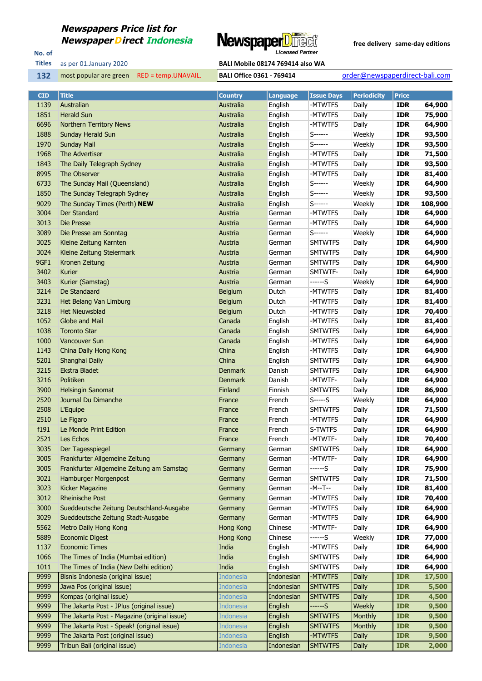### **Newspapers Price list for**



No. of **Titles**

as per 01.January 2020 **BALI Mobile 08174 769414 also WA** 

most popular are green RED = temp.UNAVAIL. **BALI Office 0361 - 769414** order@newspaperdirect-bali.com

| <b>CID</b> | <b>Title</b>                                 | <b>Country</b>   | <b>Language</b> | <b>Issue Days</b> | <b>Periodicity</b> | <b>Price</b> |         |
|------------|----------------------------------------------|------------------|-----------------|-------------------|--------------------|--------------|---------|
| 1139       | Australian                                   | Australia        | English         | -MTWTFS           | Daily              | <b>IDR</b>   | 64,900  |
| 1851       | <b>Herald Sun</b>                            | Australia        | English         | -MTWTFS           | Daily              | <b>IDR</b>   | 75,900  |
| 6696       | <b>Northern Territory News</b>               | Australia        | English         | -MTWTFS           | Daily              | <b>IDR</b>   | 64,900  |
| 1888       | <b>Sunday Herald Sun</b>                     | Australia        | English         | S------           | Weekly             | <b>IDR</b>   | 93,500  |
| 1970       | <b>Sunday Mail</b>                           | Australia        | English         | $S$ ------        | Weekly             | <b>IDR</b>   | 93,500  |
| 1968       | The Advertiser                               | Australia        | English         | -MTWTFS           | Daily              | <b>IDR</b>   | 71,500  |
| 1843       | The Daily Telegraph Sydney                   | Australia        | English         | -MTWTFS           | Daily              | <b>IDR</b>   | 93,500  |
| 8995       | The Observer                                 | Australia        | English         | -MTWTFS           | Daily              | <b>IDR</b>   | 81,400  |
| 6733       | The Sunday Mail (Queensland)                 | Australia        | English         | S------           | Weekly             | <b>IDR</b>   | 64,900  |
| 1850       | The Sunday Telegraph Sydney                  | Australia        | English         | S------           | Weekly             | <b>IDR</b>   | 93,500  |
| 9029       | The Sunday Times (Perth) NEW                 | Australia        | English         | S------           | Weekly             | <b>IDR</b>   | 108,900 |
| 3004       | Der Standard                                 | Austria          | German          | -MTWTFS           | Daily              | <b>IDR</b>   | 64,900  |
| 3013       | Die Presse                                   | Austria          | German          | -MTWTFS           | Daily              | <b>IDR</b>   | 64,900  |
| 3089       | Die Presse am Sonntag                        | Austria          | German          | S------           | Weekly             | <b>IDR</b>   | 64,900  |
| 3025       | Kleine Zeitung Karnten                       | Austria          | German          | <b>SMTWTFS</b>    | Daily              | <b>IDR</b>   | 64,900  |
| 3024       | Kleine Zeitung Steiermark                    | Austria          | German          | <b>SMTWTFS</b>    | Daily              | <b>IDR</b>   | 64,900  |
| 9GF1       | Kronen Zeitung                               | Austria          | German          | <b>SMTWTFS</b>    | Daily              | <b>IDR</b>   | 64,900  |
| 3402       | Kurier                                       | Austria          | German          | SMTWTF-           | Daily              | <b>IDR</b>   | 64,900  |
| 3403       | Kurier (Samstag)                             | Austria          | German          | ------S           | Weekly             | <b>IDR</b>   | 64,900  |
| 3214       | De Standaard                                 | Belgium          | Dutch           | -MTWTFS           | Daily              | <b>IDR</b>   | 81,400  |
| 3231       | Het Belang Van Limburg                       | Belgium          | Dutch           | -MTWTFS           | Daily              | <b>IDR</b>   | 81,400  |
| 3218       | <b>Het Nieuwsblad</b>                        | Belgium          | Dutch           | -MTWTFS           | Daily              | <b>IDR</b>   | 70,400  |
| 1052       | Globe and Mail                               | Canada           | English         | -MTWTFS           | Daily              | <b>IDR</b>   | 81,400  |
| 1038       | <b>Toronto Star</b>                          | Canada           | English         | <b>SMTWTFS</b>    | Daily              | <b>IDR</b>   | 64,900  |
| 1000       | Vancouver Sun                                | Canada           | English         | -MTWTFS           | Daily              | <b>IDR</b>   | 64,900  |
| 1143       | China Daily Hong Kong                        | China            | English         | -MTWTFS           | Daily              | <b>IDR</b>   | 64,900  |
| 5201       | Shanghai Daily                               | China            | English         | <b>SMTWTFS</b>    | Daily              | <b>IDR</b>   | 64,900  |
| 3215       | <b>Ekstra Bladet</b>                         | <b>Denmark</b>   | Danish          | <b>SMTWTFS</b>    | Daily              | <b>IDR</b>   | 64,900  |
| 3216       | Politiken                                    | <b>Denmark</b>   | Danish          | -MTWTF-           | Daily              | <b>IDR</b>   | 64,900  |
| 3900       | <b>Helsingin Sanomat</b>                     | Finland          | Finnish         | <b>SMTWTFS</b>    | Daily              | <b>IDR</b>   | 86,900  |
| 2520       | Journal Du Dimanche                          | France           | French          | S-----S           | Weekly             | <b>IDR</b>   | 64,900  |
| 2508       | L'Equipe                                     | France           | French          | <b>SMTWTFS</b>    | Daily              | <b>IDR</b>   | 71,500  |
| 2510       | Le Figaro                                    | France           | French          | -MTWTFS           | Daily              | <b>IDR</b>   | 64,900  |
| f191       | Le Monde Print Edition                       | France           | French          | S-TWTFS           | Daily              | <b>IDR</b>   | 64,900  |
| 2521       | Les Echos                                    | France           | French          | -MTWTF-           | Daily              | <b>IDR</b>   | 70,400  |
| 3035       | Der Tagesspiegel                             | Germany          | German          | <b>SMTWTFS</b>    | Daily              | <b>IDR</b>   | 64,900  |
| 3005       | Frankfurter Allgemeine Zeitung               | Germany          | German          | -MTWTF-           | Daily              | <b>IDR</b>   | 64,900  |
| 3005       | Frankfurter Allgemeine Zeitung am Samstag    | Germany          | German          | ------S           | Daily              | <b>IDR</b>   | 75,900  |
| 3021       | Hamburger Morgenpost                         | Germany          | German          | <b>SMTWTFS</b>    | Daily              | <b>IDR</b>   | 71,500  |
| 3023       | Kicker Magazine                              | Germany          | German          | -M--T--           | Daily              | <b>IDR</b>   | 81,400  |
| 3012       | <b>Rheinische Post</b>                       | Germany          | German          | -MTWTFS           | Daily              | <b>IDR</b>   | 70,400  |
| 3000       | Sueddeutsche Zeitung Deutschland-Ausgabe     | Germany          | German          | -MTWTFS           | Daily              | <b>IDR</b>   | 64,900  |
| 3029       | Sueddeutsche Zeitung Stadt-Ausgabe           | Germany          | German          | -MTWTFS           | Daily              | <b>IDR</b>   | 64,900  |
| 5562       | Metro Daily Hong Kong                        | Hong Kong        | Chinese         | -MTWTF-           | Daily              | <b>IDR</b>   | 64,900  |
| 5889       | <b>Economic Digest</b>                       | Hong Kong        | Chinese         | ------S           | Weekly             | <b>IDR</b>   | 77,000  |
| 1137       | <b>Economic Times</b>                        | India            | English         | -MTWTFS           | Daily              | <b>IDR</b>   | 64,900  |
| 1066       | The Times of India (Mumbai edition)          | India            | English         | <b>SMTWTFS</b>    | Daily              | <b>IDR</b>   | 64,900  |
| 1011       | The Times of India (New Delhi edition)       | India            | English         | <b>SMTWTFS</b>    | Daily              | <b>IDR</b>   | 64,900  |
| 9999       | Bisnis Indonesia (original issue)            | Indonesia        | Indonesian      | -MTWTFS           | Daily              | <b>IDR</b>   | 17,500  |
| 9999       | Jawa Pos (original issue)                    | Indonesia        | Indonesian      | <b>SMTWTFS</b>    | <b>Daily</b>       | <b>IDR</b>   | 5,500   |
| 9999       | Kompas (original issue)                      | Indonesia        | Indonesian      | <b>SMTWTFS</b>    | <b>Daily</b>       | <b>IDR</b>   | 4,500   |
| 9999       | The Jakarta Post - JPlus (original issue)    | Indonesia        | English         | ------S           | Weekly             | <b>IDR</b>   | 9,500   |
| 9999       | The Jakarta Post - Magazine (original issue) | Indonesia        | English         | <b>SMTWTFS</b>    | Monthly            | <b>IDR</b>   | 9,500   |
| 9999       | The Jakarta Post - Speak! (original issue)   | Indonesia        | English         | <b>SMTWTFS</b>    | Monthly            | <b>IDR</b>   | 9,500   |
| 9999       | The Jakarta Post (original issue)            | <b>Indonesia</b> | English         | -MTWTFS           | <b>Daily</b>       | <b>IDR</b>   | 9,500   |
| 9999       | Tribun Bali (original issue)                 | Indonesia        | Indonesian      | <b>SMTWTFS</b>    | Daily              | <b>IDR</b>   | 2,000   |
|            |                                              |                  |                 |                   |                    |              |         |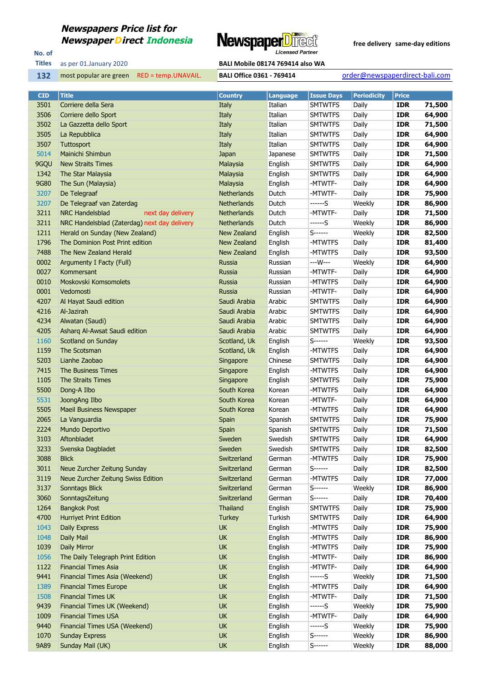# **Newspapers Price list for**



No. of **Titles**

### as per 01.January 2020 **BALI Mobile 08174 769414 also WA**

most popular are green RED = temp.UNAVAIL. **BALI Office 0361 - 769414** order@newspaperdirect-bali.com

| <b>CID</b> | <b>Title</b>                                 | <b>Country</b>     | <b>Language</b> | <b>Issue Days</b> | <b>Periodicity</b> | <b>Price</b> |        |
|------------|----------------------------------------------|--------------------|-----------------|-------------------|--------------------|--------------|--------|
| 3501       | Corriere della Sera                          | Italy              | Italian         | <b>SMTWTFS</b>    | Daily              | <b>IDR</b>   | 71,500 |
| 3506       | Corriere dello Sport                         | Italy              | Italian         | <b>SMTWTFS</b>    | Daily              | <b>IDR</b>   | 64,900 |
| 3502       | La Gazzetta dello Sport                      | Italy              | Italian         | <b>SMTWTFS</b>    | Daily              | <b>IDR</b>   | 71,500 |
| 3505       | La Repubblica                                | Italy              | Italian         | <b>SMTWTFS</b>    | Daily              | <b>IDR</b>   | 64,900 |
| 3507       | Tuttosport                                   | Italy              | Italian         | <b>SMTWTFS</b>    | Daily              | <b>IDR</b>   | 64,900 |
| 5014       | Mainichi Shimbun                             | Japan              | Japanese        | <b>SMTWTFS</b>    | Daily              | <b>IDR</b>   | 71,500 |
| 9GQU       | <b>New Straits Times</b>                     | Malaysia           | English         | <b>SMTWTFS</b>    | Daily              | <b>IDR</b>   | 64,900 |
| 1342       | The Star Malaysia                            | Malaysia           | English         | <b>SMTWTFS</b>    | Daily              | <b>IDR</b>   | 64,900 |
| 9G80       | The Sun (Malaysia)                           | Malaysia           | English         | -MTWTF-           | Daily              | <b>IDR</b>   | 64,900 |
| 3207       | De Telegraaf                                 | <b>Netherlands</b> | Dutch           | -MTWTF-           | Daily              | <b>IDR</b>   | 75,900 |
| 3207       | De Telegraaf van Zaterdag                    | <b>Netherlands</b> | Dutch           | ------S           | Weekly             | <b>IDR</b>   | 86,900 |
| 3211       | <b>NRC Handelsblad</b><br>next day delivery  | <b>Netherlands</b> | Dutch           | -MTWTF-           | Daily              | <b>IDR</b>   | 71,500 |
| 3211       | NRC Handelsblad (Zaterdag) next day delivery | <b>Netherlands</b> | Dutch           | ------S           | Weekly             | <b>IDR</b>   | 86,900 |
| 1211       | Herald on Sunday (New Zealand)               | New Zealand        | English         | S------           | Weekly             | <b>IDR</b>   | 82,500 |
| 1796       | The Dominion Post Print edition              | New Zealand        | English         | -MTWTFS           | Daily              | <b>IDR</b>   | 81,400 |
| 7488       | The New Zealand Herald                       | <b>New Zealand</b> | English         | -MTWTFS           | Daily              | <b>IDR</b>   | 93,500 |
| 0002       | Argumenty I Facty (Full)                     | Russia             | Russian         | ---W---           | Weekly             | <b>IDR</b>   | 64,900 |
| 0027       | Kommersant                                   | Russia             | Russian         | -MTWTF-           | Daily              | <b>IDR</b>   | 64,900 |
| 0010       | Moskovski Komsomolets                        | Russia             | Russian         | -MTWTFS           | Daily              | <b>IDR</b>   | 64,900 |
| 0001       | Vedomosti                                    | Russia             | Russian         | -MTWTF-           | Daily              | <b>IDR</b>   | 64,900 |
| 4207       | Al Hayat Saudi edition                       | Saudi Arabia       | Arabic          | <b>SMTWTFS</b>    | Daily              | <b>IDR</b>   | 64,900 |
| 4216       | Al-Jazirah                                   | Saudi Arabia       | Arabic          | <b>SMTWTFS</b>    | Daily              | <b>IDR</b>   | 64,900 |
| 4234       | Alwatan (Saudi)                              | Saudi Arabia       | Arabic          | <b>SMTWTFS</b>    | Daily              | <b>IDR</b>   | 64,900 |
| 4205       | Asharg Al-Awsat Saudi edition                | Saudi Arabia       | Arabic          | <b>SMTWTFS</b>    | Daily              | <b>IDR</b>   | 64,900 |
| 1160       | Scotland on Sunday                           | Scotland, Uk       | English         | S------           | Weekly             | <b>IDR</b>   | 93,500 |
| 1159       | The Scotsman                                 | Scotland, Uk       | English         | -MTWTFS           | Daily              | <b>IDR</b>   | 64,900 |
| 5203       | Lianhe Zaobao                                | Singapore          | Chinese         | <b>SMTWTFS</b>    | Daily              | <b>IDR</b>   | 64,900 |
| 7415       | The Business Times                           | Singapore          | English         | -MTWTFS           | Daily              | <b>IDR</b>   | 64,900 |
| 1105       | The Straits Times                            | Singapore          | English         | <b>SMTWTFS</b>    | Daily              | <b>IDR</b>   | 75,900 |
| 5500       | Dong-A Ilbo                                  | South Korea        | Korean          | -MTWTFS           | Daily              | <b>IDR</b>   | 64,900 |
| 5531       | JoongAng Ilbo                                | South Korea        | Korean          | -MTWTF-           | Daily              | <b>IDR</b>   | 64,900 |
| 5505       | <b>Maeil Business Newspaper</b>              | South Korea        | Korean          | -MTWTFS           | Daily              | <b>IDR</b>   | 64,900 |
| 2065       | La Vanguardia                                | Spain              | Spanish         | <b>SMTWTFS</b>    | Daily              | <b>IDR</b>   | 75,900 |
| 2224       | Mundo Deportivo                              | Spain              | Spanish         | <b>SMTWTFS</b>    | Daily              | <b>IDR</b>   | 71,500 |
| 3103       | Aftonbladet                                  | Sweden             | Swedish         | <b>SMTWTFS</b>    | Daily              | <b>IDR</b>   | 64,900 |
| 3233       | Svenska Dagbladet                            | Sweden             | Swedish         | <b>SMTWTFS</b>    | Daily              | <b>IDR</b>   | 82,500 |
| 3088       | <b>Blick</b>                                 | Switzerland        | German          | -MTWTFS           | Daily              | <b>IDR</b>   | 75,900 |
| 3011       | Neue Zurcher Zeitung Sunday                  | Switzerland        | German          | $S$ ------        | Daily              | <b>IDR</b>   | 82,500 |
| 3119       | Neue Zurcher Zeitung Swiss Edition           | Switzerland        | German          | -MTWTFS           | Daily              | <b>IDR</b>   | 77,000 |
| 3137       | Sonntags Blick                               | Switzerland        | German          | $S$ ------        | Weekly             | <b>IDR</b>   | 86,900 |
| 3060       | SonntagsZeitung                              | Switzerland        | German          | $S$ ------        | Daily              | <b>IDR</b>   | 70,400 |
| 1264       | <b>Bangkok Post</b>                          | Thailand           | English         | <b>SMTWTFS</b>    | Daily              | <b>IDR</b>   | 75,900 |
| 4700       | <b>Hurriyet Print Edition</b>                | <b>Turkey</b>      | Turkish         | <b>SMTWTFS</b>    | Daily              | <b>IDR</b>   | 64,900 |
| 1043       | <b>Daily Express</b>                         | <b>UK</b>          | English         | -MTWTFS           | Daily              | <b>IDR</b>   | 75,900 |
| 1048       | Daily Mail                                   | UK                 | English         | -MTWTFS           | Daily              | <b>IDR</b>   | 86,900 |
| 1039       | Daily Mirror                                 | UK                 | English         | -MTWTFS           | Daily              | <b>IDR</b>   | 75,900 |
| 1056       | The Daily Telegraph Print Edition            | UK                 | English         | -MTWTF-           | Daily              | <b>IDR</b>   | 86,900 |
| 1122       | <b>Financial Times Asia</b>                  | UK                 | English         | -MTWTF-           | Daily              | <b>IDR</b>   | 64,900 |
| 9441       | Financial Times Asia (Weekend)               | UK                 | English         | ------S           | Weekly             | <b>IDR</b>   | 71,500 |
| 1389       | <b>Financial Times Europe</b>                | UK                 | English         | -MTWTFS           | Daily              | <b>IDR</b>   | 64,900 |
| 1508       | <b>Financial Times UK</b>                    | UK                 | English         | -MTWTF-           | Daily              | <b>IDR</b>   | 71,500 |
| 9439       | Financial Times UK (Weekend)                 | UK                 | English         | ------S           | Weekly             | <b>IDR</b>   | 75,900 |
| 1009       | <b>Financial Times USA</b>                   | UK                 | English         | -MTWTF-           | Daily              | <b>IDR</b>   | 64,900 |
| 9440       | Financial Times USA (Weekend)                | UK                 | English         | ------S           | Weekly             | <b>IDR</b>   | 75,900 |
| 1070       | <b>Sunday Express</b>                        | UK                 | English         | $S$ ------        | Weekly             | <b>IDR</b>   | 86,900 |
| 9A89       | Sunday Mail (UK)                             | UK                 | English         | $S$ ------        | Weekly             | <b>IDR</b>   | 88,000 |
|            |                                              |                    |                 |                   |                    |              |        |